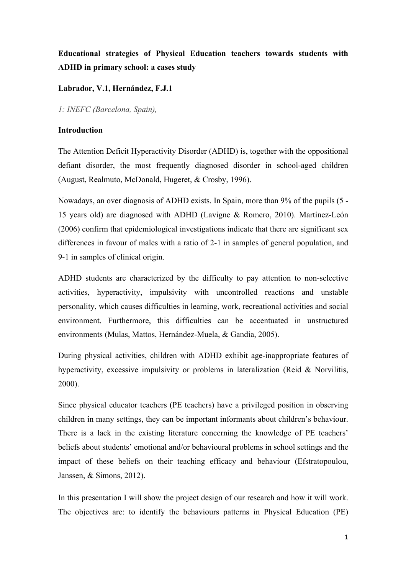# **Educational strategies of Physical Education teachers towards students with ADHD in primary school: a cases study**

## **Labrador, V.1, Hernández, F.J.1**

*1: INEFC (Barcelona, Spain),*

## **Introduction**

The Attention Deficit Hyperactivity Disorder (ADHD) is, together with the oppositional defiant disorder, the most frequently diagnosed disorder in school-aged children (August, Realmuto, McDonald, Hugeret, & Crosby, 1996).

Nowadays, an over diagnosis of ADHD exists. In Spain, more than 9% of the pupils (5 - 15 years old) are diagnosed with ADHD (Lavigne & Romero, 2010). Martínez-León (2006) confirm that epidemiological investigations indicate that there are significant sex differences in favour of males with a ratio of 2-1 in samples of general population, and 9-1 in samples of clinical origin.

ADHD students are characterized by the difficulty to pay attention to non-selective activities, hyperactivity, impulsivity with uncontrolled reactions and unstable personality, which causes difficulties in learning, work, recreational activities and social environment. Furthermore, this difficulties can be accentuated in unstructured environments (Mulas, Mattos, Hernández-Muela, & Gandía, 2005).

During physical activities, children with ADHD exhibit age-inappropriate features of hyperactivity, excessive impulsivity or problems in lateralization (Reid & Norvilitis, 2000).

Since physical educator teachers (PE teachers) have a privileged position in observing children in many settings, they can be important informants about children's behaviour. There is a lack in the existing literature concerning the knowledge of PE teachers' beliefs about students' emotional and/or behavioural problems in school settings and the impact of these beliefs on their teaching efficacy and behaviour (Efstratopoulou, Janssen, & Simons, 2012).

In this presentation I will show the project design of our research and how it will work. The objectives are: to identify the behaviours patterns in Physical Education (PE)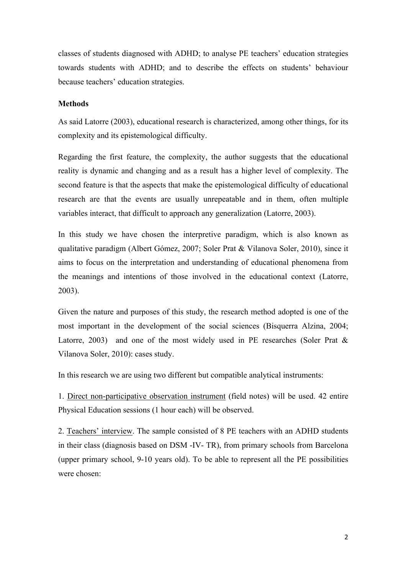classes of students diagnosed with ADHD; to analyse PE teachers' education strategies towards students with ADHD; and to describe the effects on students' behaviour because teachers' education strategies.

## **Methods**

As said Latorre (2003), educational research is characterized, among other things, for its complexity and its epistemological difficulty.

Regarding the first feature, the complexity, the author suggests that the educational reality is dynamic and changing and as a result has a higher level of complexity. The second feature is that the aspects that make the epistemological difficulty of educational research are that the events are usually unrepeatable and in them, often multiple variables interact, that difficult to approach any generalization (Latorre, 2003).

In this study we have chosen the interpretive paradigm, which is also known as qualitative paradigm (Albert Gómez, 2007; Soler Prat & Vilanova Soler, 2010), since it aims to focus on the interpretation and understanding of educational phenomena from the meanings and intentions of those involved in the educational context (Latorre, 2003).

Given the nature and purposes of this study, the research method adopted is one of the most important in the development of the social sciences (Bisquerra Alzina, 2004; Latorre, 2003) and one of the most widely used in PE researches (Soler Prat  $\&$ Vilanova Soler, 2010): cases study.

In this research we are using two different but compatible analytical instruments:

1. Direct non-participative observation instrument (field notes) will be used. 42 entire Physical Education sessions (1 hour each) will be observed.

2. Teachers' interview. The sample consisted of 8 PE teachers with an ADHD students in their class (diagnosis based on DSM -IV- TR), from primary schools from Barcelona (upper primary school, 9-10 years old). To be able to represent all the PE possibilities were chosen: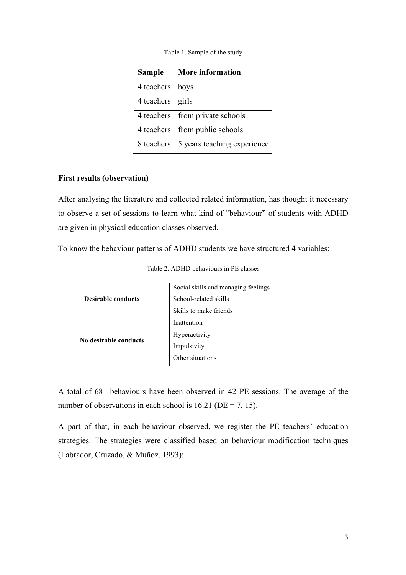| <b>Sample</b>    | <b>More information</b>                |
|------------------|----------------------------------------|
| 4 teachers boys  |                                        |
| 4 teachers girls |                                        |
|                  | 4 teachers from private schools        |
|                  | 4 teachers from public schools         |
|                  | 8 teachers 5 years teaching experience |

Table 1. Sample of the study

### **First results (observation)**

After analysing the literature and collected related information, has thought it necessary to observe a set of sessions to learn what kind of "behaviour" of students with ADHD are given in physical education classes observed.

To know the behaviour patterns of ADHD students we have structured 4 variables:

|                           | Social skills and managing feelings |
|---------------------------|-------------------------------------|
| <b>Desirable conducts</b> | School-related skills               |
|                           | Skills to make friends              |
|                           | Inattention                         |
| No desirable conducts     | Hyperactivity                       |
|                           | Impulsivity                         |
|                           | Other situations                    |
|                           |                                     |

A total of 681 behaviours have been observed in 42 PE sessions. The average of the number of observations in each school is  $16.21$  (DE = 7, 15).

A part of that, in each behaviour observed, we register the PE teachers' education strategies. The strategies were classified based on behaviour modification techniques (Labrador, Cruzado, & Muñoz, 1993):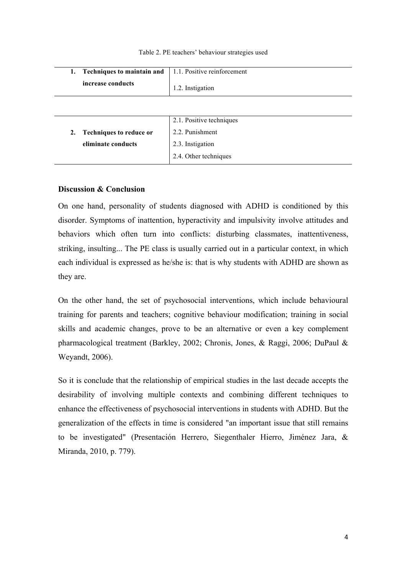#### Table 2. PE teachers' behaviour strategies used

|    | 1. Techniques to maintain and  | 1.1. Positive reinforcement |
|----|--------------------------------|-----------------------------|
|    | increase conducts              | 1.2. Instigation            |
|    |                                |                             |
|    |                                | 2.1. Positive techniques    |
| 2. | <b>Techniques to reduce or</b> | 2.2. Punishment             |
|    | eliminate conducts             | 2.3. Instigation            |
|    |                                | 2.4. Other techniques       |

#### **Discussion & Conclusion**

On one hand, personality of students diagnosed with ADHD is conditioned by this disorder. Symptoms of inattention, hyperactivity and impulsivity involve attitudes and behaviors which often turn into conflicts: disturbing classmates, inattentiveness, striking, insulting... The PE class is usually carried out in a particular context, in which each individual is expressed as he/she is: that is why students with ADHD are shown as they are.

On the other hand, the set of psychosocial interventions, which include behavioural training for parents and teachers; cognitive behaviour modification; training in social skills and academic changes, prove to be an alternative or even a key complement pharmacological treatment (Barkley, 2002; Chronis, Jones, & Raggi, 2006; DuPaul & Weyandt, 2006).

So it is conclude that the relationship of empirical studies in the last decade accepts the desirability of involving multiple contexts and combining different techniques to enhance the effectiveness of psychosocial interventions in students with ADHD. But the generalization of the effects in time is considered "an important issue that still remains to be investigated" (Presentación Herrero, Siegenthaler Hierro, Jiménez Jara, & Miranda, 2010, p. 779).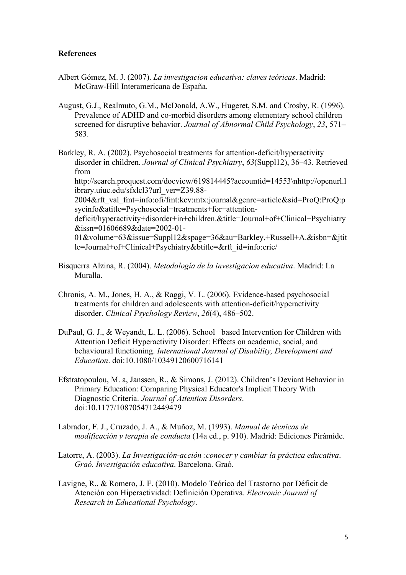### **References**

- Albert Gómez, M. J. (2007). *La investigacion educativa: claves teóricas*. Madrid: McGraw-Hill Interamericana de España.
- August, G.J., Realmuto, G.M., McDonald, A.W., Hugeret, S.M. and Crosby, R. (1996). Prevalence of ADHD and co-morbid disorders among elementary school children screened for disruptive behavior. *Journal of Abnormal Child Psychology*, *23*, 571– 583.
- Barkley, R. A. (2002). Psychosocial treatments for attention-deficit/hyperactivity disorder in children. *Journal of Clinical Psychiatry*, *63*(Suppl12), 36–43. Retrieved from http://search.proquest.com/docview/619814445?accountid=14553\nhttp://openurl.l ibrary.uiuc.edu/sfxlcl3?url\_ver=Z39.88- 2004&rft\_val\_fmt=info:ofi/fmt:kev:mtx:journal&genre=article&sid=ProQ:ProQ:p sycinfo&atitle=Psychosocial+treatments+for+attentiondeficit/hyperactivity+disorder+in+children.&title=Journal+of+Clinical+Psychiatry &issn=01606689&date=2002-01- 01&volume=63&issue=Suppl12&spage=36&au=Barkley,+Russell+A.&isbn=&jtit le=Journal+of+Clinical+Psychiatry&btitle=&rft\_id=info:eric/
- Bisquerra Alzina, R. (2004). *Metodología de la investigacion educativa*. Madrid: La Muralla.
- Chronis, A. M., Jones, H. A., & Raggi, V. L. (2006). Evidence-based psychosocial treatments for children and adolescents with attention-deficit/hyperactivity disorder. *Clinical Psychology Review*, *26*(4), 486–502.
- DuPaul, G. J., & Weyandt, L. L. (2006). School based Intervention for Children with Attention Deficit Hyperactivity Disorder: Effects on academic, social, and behavioural functioning. *International Journal of Disability, Development and Education*. doi:10.1080/10349120600716141
- Efstratopoulou, M. a, Janssen, R., & Simons, J. (2012). Children's Deviant Behavior in Primary Education: Comparing Physical Educator's Implicit Theory With Diagnostic Criteria. *Journal of Attention Disorders*. doi:10.1177/1087054712449479
- Labrador, F. J., Cruzado, J. A., & Muñoz, M. (1993). *Manual de técnicas de modificación y terapia de conducta* (14a ed., p. 910). Madrid: Ediciones Pirámide.
- Latorre, A. (2003). *La Investigación-acción :conocer y cambiar la práctica educativa*. *Graó. Investigación educativa*. Barcelona. Graó.
- Lavigne, R., & Romero, J. F. (2010). Modelo Teórico del Trastorno por Déficit de Atención con Hiperactividad: Definición Operativa. *Electronic Journal of Research in Educational Psychology*.